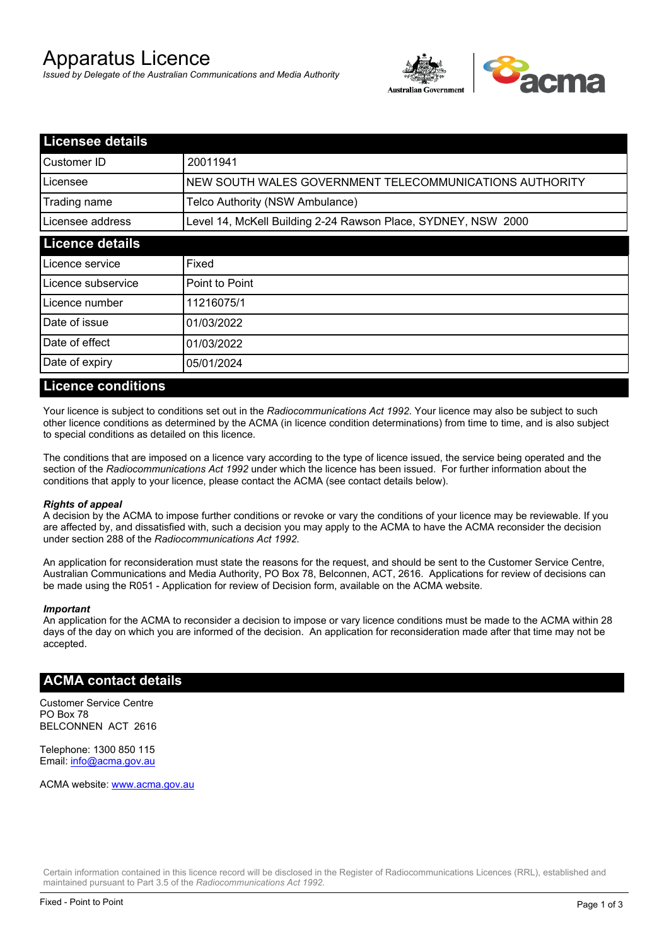# Apparatus Licence

*Issued by Delegate of the Australian Communications and Media Authority*



| <b>Licensee details</b> |                                                               |  |
|-------------------------|---------------------------------------------------------------|--|
| Customer ID             | 20011941                                                      |  |
| Licensee                | NEW SOUTH WALES GOVERNMENT TELECOMMUNICATIONS AUTHORITY       |  |
| Trading name            | Telco Authority (NSW Ambulance)                               |  |
| Licensee address        | Level 14, McKell Building 2-24 Rawson Place, SYDNEY, NSW 2000 |  |
| <b>Licence details</b>  |                                                               |  |
| Licence service         | Fixed                                                         |  |
| Licence subservice      | Point to Point                                                |  |
| Licence number          | 11216075/1                                                    |  |
| Date of issue           | 01/03/2022                                                    |  |
| <b>IDate of effect</b>  | 01/03/2022                                                    |  |
| Date of expiry          | 05/01/2024                                                    |  |

#### **Licence conditions**

Your licence is subject to conditions set out in the *Radiocommunications Act 1992*. Your licence may also be subject to such other licence conditions as determined by the ACMA (in licence condition determinations) from time to time, and is also subject to special conditions as detailed on this licence.

The conditions that are imposed on a licence vary according to the type of licence issued, the service being operated and the section of the *Radiocommunications Act 1992* under which the licence has been issued. For further information about the conditions that apply to your licence, please contact the ACMA (see contact details below).

#### *Rights of appeal*

A decision by the ACMA to impose further conditions or revoke or vary the conditions of your licence may be reviewable. If you are affected by, and dissatisfied with, such a decision you may apply to the ACMA to have the ACMA reconsider the decision under section 288 of the *Radiocommunications Act 1992*.

An application for reconsideration must state the reasons for the request, and should be sent to the Customer Service Centre, Australian Communications and Media Authority, PO Box 78, Belconnen, ACT, 2616. Applications for review of decisions can be made using the R051 - Application for review of Decision form, available on the ACMA website.

#### *Important*

An application for the ACMA to reconsider a decision to impose or vary licence conditions must be made to the ACMA within 28 days of the day on which you are informed of the decision. An application for reconsideration made after that time may not be accepted.

#### **ACMA contact details**

Customer Service Centre PO Box 78 BELCONNEN ACT 2616

Telephone: 1300 850 115 Email: info@acma.gov.au

ACMA website: www.acma.gov.au

Certain information contained in this licence record will be disclosed in the Register of Radiocommunications Licences (RRL), established and maintained pursuant to Part 3.5 of the *Radiocommunications Act 1992.*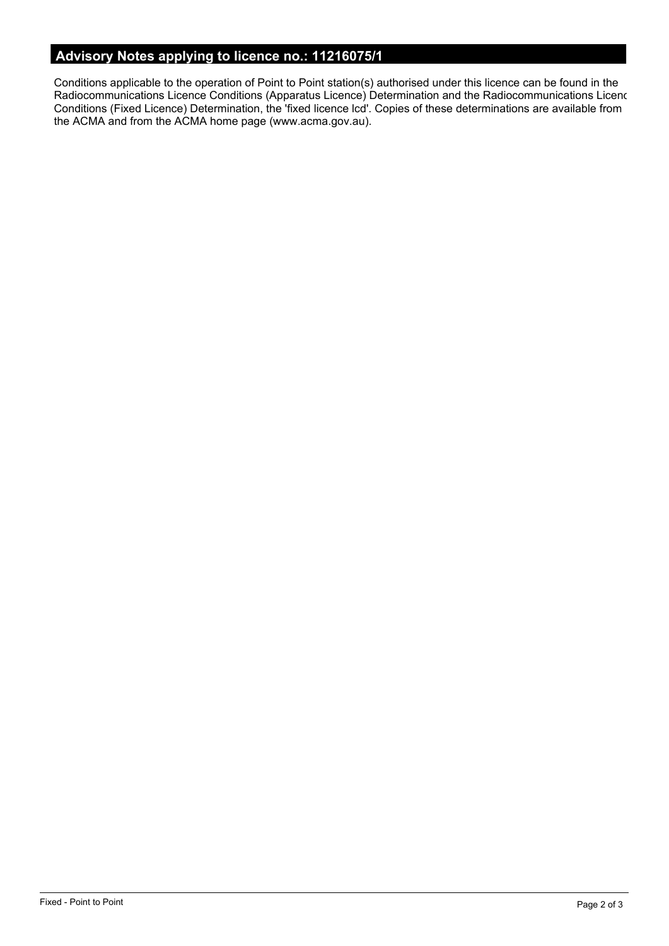# **Advisory Notes applying to licence no.: 11216075/1**

Conditions applicable to the operation of Point to Point station(s) authorised under this licence can be found in the Radiocommunications Licence Conditions (Apparatus Licence) Determination and the Radiocommunications Licence Conditions (Fixed Licence) Determination, the 'fixed licence lcd'. Copies of these determinations are available from the ACMA and from the ACMA home page (www.acma.gov.au).